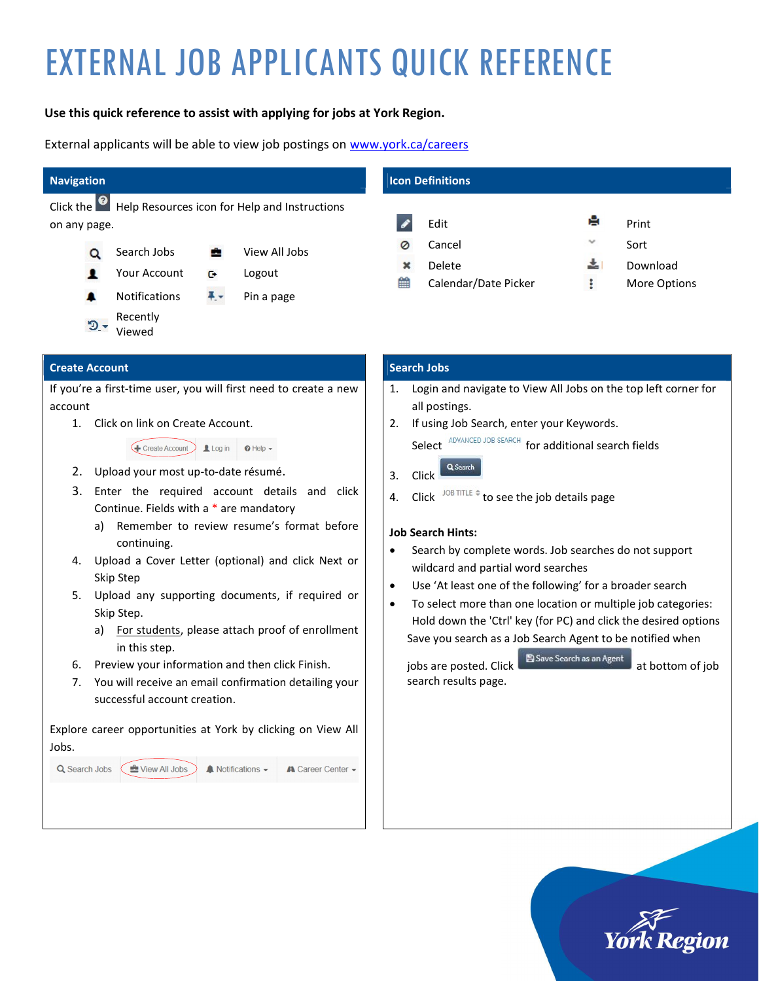# EXTERNAL JOB APPLICANTS QUICK REFERENCE

# Use this quick reference to assist with applying for jobs at York Region.

External applicants will be able to view job postings on www.york.ca/careers

## Navigation

Click the **O** Help Resources icon for Help and Instructions on any page.



# Icon Definitions



## Create Account

If you're a first-time user, you will first need to create a new account

1. Click on link on Create Account.

Example 1 Find the Create Account D Log in | 0 Help -

- 2. Upload your most up-to-date résumé.
- 3. Enter the required account details and click Continue. Fields with a \* are mandatory
	- a) Remember to review resume's format before continuing.
- 4. Upload a Cover Letter (optional) and click Next or Skip Step
- 5. Upload any supporting documents, if required or Skip Step.
	- a) For students, please attach proof of enrollment in this step.
- 6. Preview your information and then click Finish.
- 7. You will receive an email confirmation detailing your successful account creation.

Explore career opportunities at York by clicking on View All Jobs.



# Search Jobs

- 1. Login and navigate to View All Jobs on the top left corner for all postings.
- 2. If using Job Search, enter your Keywords.

Select **ADVANCED JOB SEARCH** for additional search fields

- Q Search 3. Click
- 4. Click JOB TITLE  $\triangleq$  to see the job details page

#### Job Search Hints:

- Search by complete words. Job searches do not support wildcard and partial word searches
- Use 'At least one of the following' for a broader search
- To select more than one location or multiple job categories: Hold down the 'Ctrl' key (for PC) and click the desired options Save you search as a Job Search Agent to be notified when

jobs are posted. Click **B** Save Search as an Agent at bottom of job search results page.

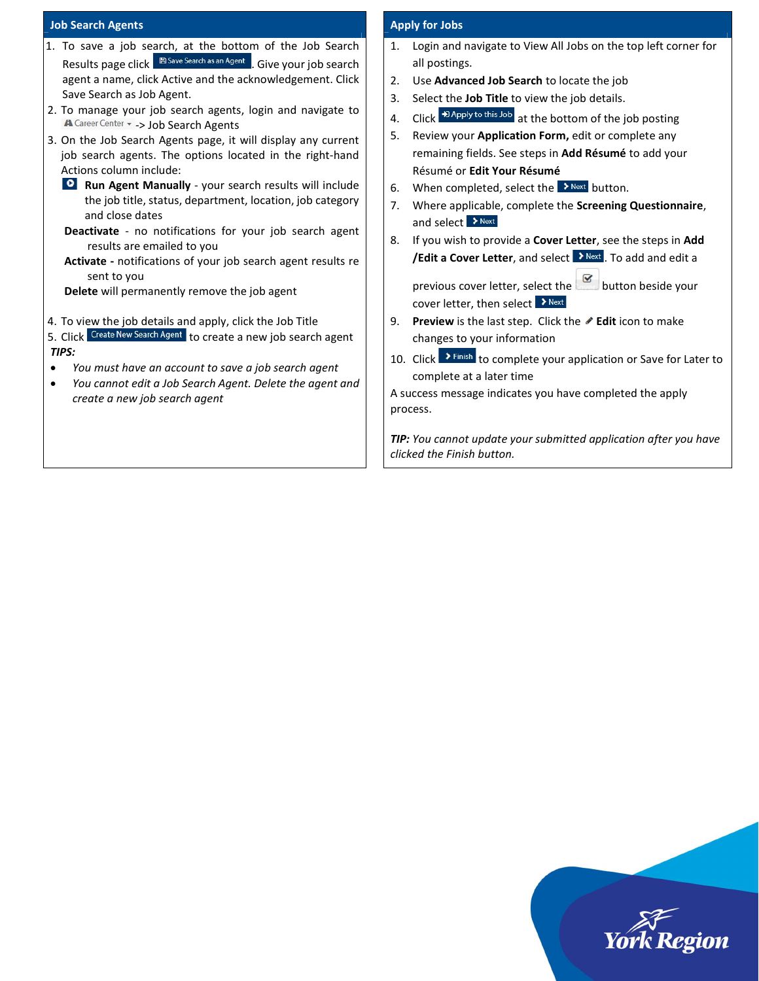#### Job Search Agents

| 1. To save a job search, at the bottom of the Job Search                                              |  |
|-------------------------------------------------------------------------------------------------------|--|
| B Save Search as an Agent . Give your job search<br>Results page click                                |  |
| agent a name, click Active and the acknowledgement. Click                                             |  |
| Save Search as Job Agent.                                                                             |  |
| 2. To manage your job search agents, login and navigate to<br>A Career Center - - > Job Search Agents |  |
| 3. On the Job Search Agents page, it will display any current                                         |  |
| job search agents. The options located in the right-hand                                              |  |
| Actions column include:                                                                               |  |
| Run Agent Manually - your search results will include                                                 |  |
| the job title, status, department, location, job category                                             |  |
| and close dates                                                                                       |  |
| <b>Deactivate</b> - no notifications for your job search agent                                        |  |
| results are emailed to you                                                                            |  |
| <b>Activate</b> - notifications of your job search agent results re                                   |  |
| sent to you                                                                                           |  |
| Delete will permanently remove the job agent                                                          |  |

- 4. To view the job details and apply, click the Job Title
- 5. Click Create New Search Agent to create a new job search agent TIPS:
- You must have an account to save a job search agent
- You cannot edit a Job Search Agent. Delete the agent and create a new job search agent

#### Apply for Jobs

- 1. Login and navigate to View All Jobs on the top left corner for all postings.
- 2. Use Advanced Job Search to locate the job
- 3. Select the Job Title to view the job details.
- 4. Click  $\overline{P}$  Apply to this Job at the bottom of the job posting
- 5. Review your Application Form, edit or complete any remaining fields. See steps in Add Résumé to add your Résumé or Edit Your Résumé
- 6. When completed, select the  $\rightarrow$  Next button.
- 7. Where applicable, complete the Screening Questionnaire, and select > Next
- 8. If you wish to provide a Cover Letter, see the steps in Add /Edit a Cover Letter, and select  $\rightarrow$  Next To add and edit a

previous cover letter, select the **button beside your** cover letter, then select  $\sum_{n=1}^{\infty}$ 

- 9. Preview is the last step. Click the  $\triangle$  Edit icon to make changes to your information
- 10. Click **>** Finish to complete your application or Save for Later to complete at a later time

A success message indicates you have completed the apply process.

TIP: You cannot update your submitted application after you have clicked the Finish button.

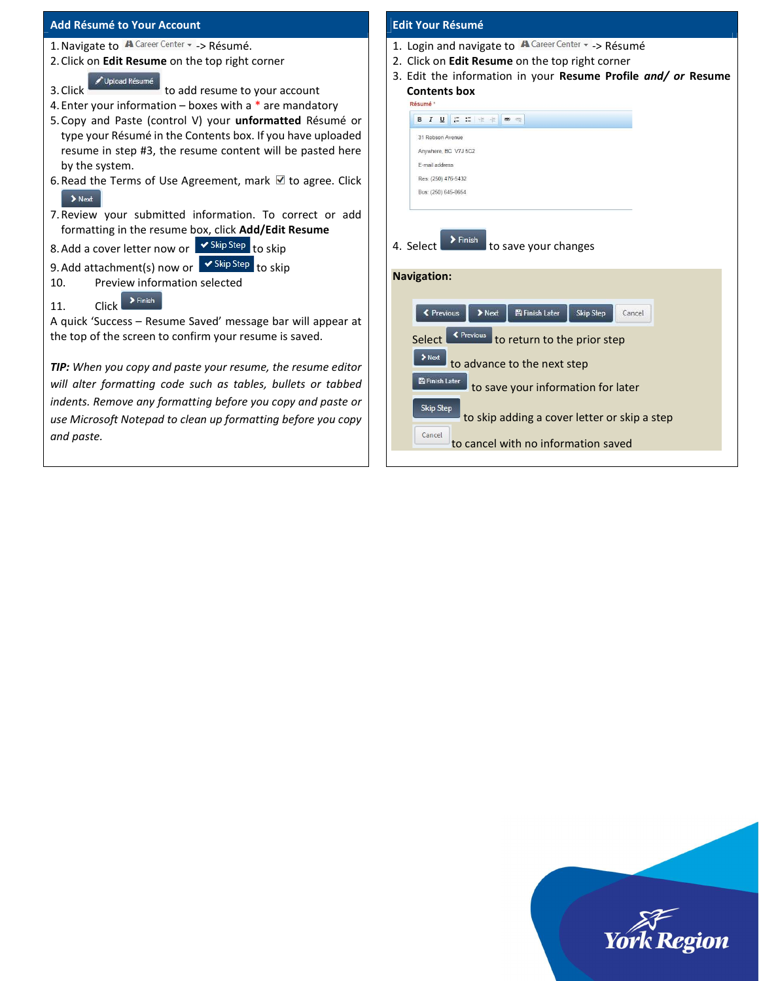| Add Résumé to Your Account                                              | <b>Edit Your Résumé</b>                                                                         |
|-------------------------------------------------------------------------|-------------------------------------------------------------------------------------------------|
| 1. Navigate to A Career Center - > Résumé.                              | 1. Login and navigate to $\bigwedge^{\bullet}$ Career Center $\sim$ -> Résumé                   |
| 2. Click on Edit Resume on the top right corner                         | 2. Click on Edit Resume on the top right corner                                                 |
| Upload Résumé                                                           | 3. Edit the information in your Resume Profile and/ or Resume                                   |
| to add resume to your account<br>3. Click                               | <b>Contents box</b>                                                                             |
| 4. Enter your information – boxes with a $*$ are mandatory              | Résumé *                                                                                        |
| 5. Copy and Paste (control V) your unformatted Résumé or                | <b>B</b> $I$ <b>U</b> $I$ <b>I</b> $I$ <b>I</b> $I$ <b>I</b> $I$ <b>I B B</b>                   |
| type your Résumé in the Contents box. If you have uploaded              | 31 Robson Avenue                                                                                |
| resume in step #3, the resume content will be pasted here               | Anywhere, BC V7J 5C2                                                                            |
| by the system.                                                          | E-mail address                                                                                  |
| 6. Read the Terms of Use Agreement, mark $\blacksquare$ to agree. Click | Res: (250) 476-5432<br>Bus: (250) 645-8654                                                      |
| $\blacktriangleright$ Next                                              |                                                                                                 |
| 7. Review your submitted information. To correct or add                 |                                                                                                 |
| formatting in the resume box, click Add/Edit Resume                     |                                                                                                 |
| 8. Add a cover letter now or <b>Skip Step</b> to skip                   | $\sum$ Finish<br>to save your changes<br>4. Select                                              |
| 9. Add attachment(s) now or Skip Step to skip                           |                                                                                                 |
| Preview information selected<br>10.                                     | <b>Navigation:</b>                                                                              |
| $\sum$ Finish                                                           |                                                                                                 |
| <b>Click</b><br>11.                                                     | <b>图 Finish Later</b><br>$\blacktriangleright$ Next<br><b>≮</b> Previous<br>Skip Step<br>Cancel |
| A quick 'Success - Resume Saved' message bar will appear at             |                                                                                                 |
| the top of the screen to confirm your resume is saved.                  | Select <sup>« Previous</sup> to return to the prior step                                        |
| <b>TIP:</b> When you copy and paste your resume, the resume editor      | $\blacktriangleright$ Next<br>to advance to the next step                                       |
|                                                                         | <b>B</b> Finish Later                                                                           |
| will alter formatting code such as tables, bullets or tabbed            | to save your information for later                                                              |
| indents. Remove any formatting before you copy and paste or             | Skip Step                                                                                       |
| use Microsoft Notepad to clean up formatting before you copy            | to skip adding a cover letter or skip a step                                                    |
| and paste.                                                              | Cancel<br>to cancel with no information saved                                                   |

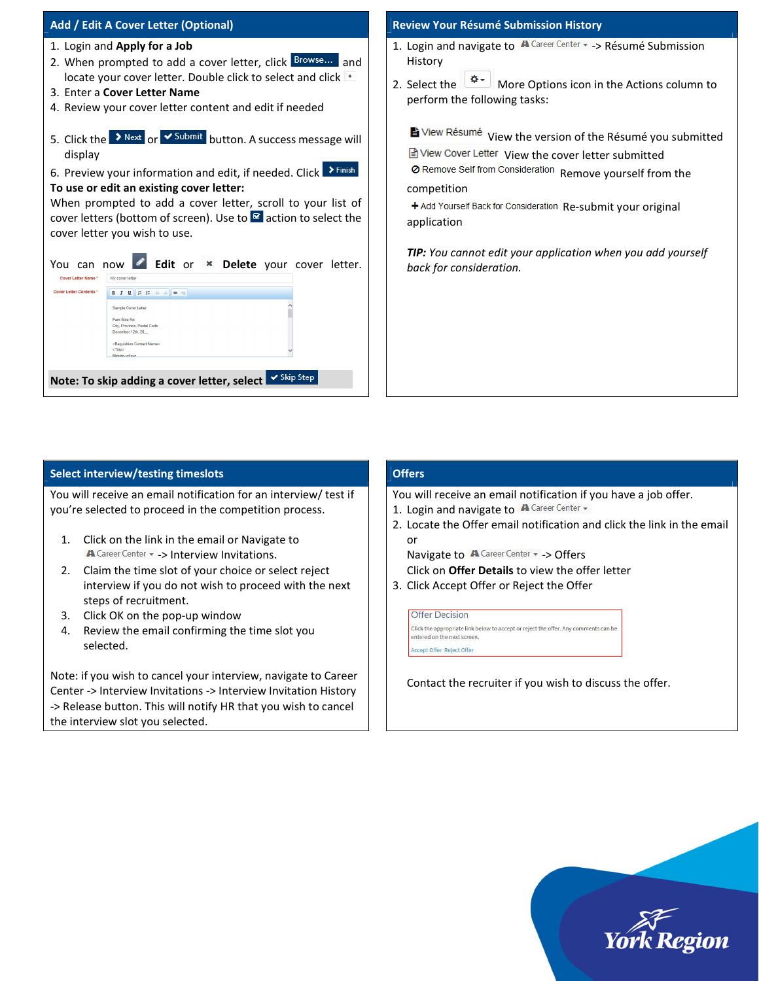| Add / Edit A Cover Letter (Optional)                                                                                                                                                                                                                                                                                                                                                                          | <b>Review</b>                           |
|---------------------------------------------------------------------------------------------------------------------------------------------------------------------------------------------------------------------------------------------------------------------------------------------------------------------------------------------------------------------------------------------------------------|-----------------------------------------|
| 1. Login and Apply for a Job<br>2. When prompted to add a cover letter, click Browse<br>and                                                                                                                                                                                                                                                                                                                   | 1. Logi<br>Hist                         |
| locate your cover letter. Double click to select and click $\pm$<br>3. Enter a Cover Letter Name<br>4. Review your cover letter content and edit if needed                                                                                                                                                                                                                                                    | 2. Sele<br>perf                         |
| > Next or $\overline{\smash{\mathsf{Submit}}}$ button. A success message will<br>5. Click the<br>display<br>$\sum$ Finish<br>6. Preview your information and edit, if needed. Click<br>To use or edit an existing cover letter:<br>When prompted to add a cover letter, scroll to your list of<br>cover letters (bottom of screen). Use to $\mathbb{F}$ action to select the<br>cover letter you wish to use. | EV<br>l≣ì∨<br>ØR<br>com<br>$+A$<br>appl |
| Edit or * Delete your cover letter.<br>You can<br>now<br>Cover Letter Name *<br>My cover letter<br><b>Cover Letter Contents *</b><br>Sample Cover Letter<br>Park Side Rd<br>City, Province, Postal Code<br>December 12th, 20<br><requisition contact="" name=""><br/><title><br/>Ministry of xvz<br/>✔ Skip Step<br/>Note: To skip adding a cover letter, select</title></requisition>                        | TIP:<br>hack                            |

#### Your Résumé Submission History

- in and navigate to  $\mathbb{A}$  Career Center  $\sim$  -> Résumé Submission ory
- ect the  $\left[\frac{\phi}{2}$  More Options icon in the Actions column to form the following tasks:

 $\ell$ iew Résumé $\,$  View the version of the Résumé you submitted

iew Cover Letter View the cover letter submitted

Remove Self from Consideration Remove yourself from the petition

dd Yourself Back for Consideration Re-submit your original lication

You cannot edit your application when you add yourself k for consideration.

### Select interview/testing timeslots

You will receive an email notification for an interview/ test if you're selected to proceed in the competition process.

- 1. Click on the link in the email or Navigate to A Career Center  $\sim$  -> Interview Invitations.
- 2. Claim the time slot of your choice or select reject interview if you do not wish to proceed with the next steps of recruitment.
- 3. Click OK on the pop-up window
- 4. Review the email confirming the time slot you selected.

Note: if you wish to cancel your interview, navigate to Career Center -> Interview Invitations -> Interview Invitation History -> Release button. This will notify HR that you wish to cancel the interview slot you selected.

## **Offers**

You will receive an email notification if you have a job offer.

- 1. Login and navigate to **A** Career Center -
- 2. Locate the Offer email notification and click the link in the email or

Navigate to A Career Center - > Offers

- Click on Offer Details to view the offer letter
- 3. Click Accept Offer or Reject the Offer

**Offer Decision** Click the appropriate link below to accept or reject the offer. Any comments can be entered on the next screen. **Accept Offer Reject Offer** 

Contact the recruiter if you wish to discuss the offer.